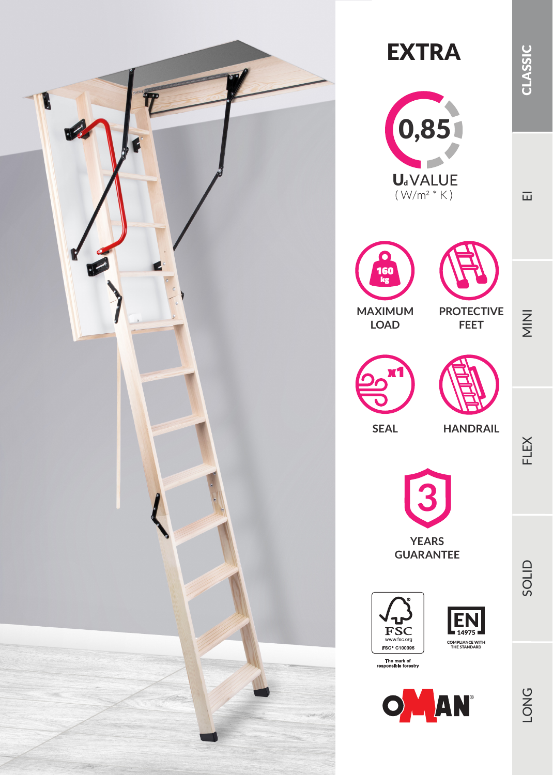











**FEET**

**SEAL**

**HANDRAIL**



**GUARANTEE**







SOLID

FLEX